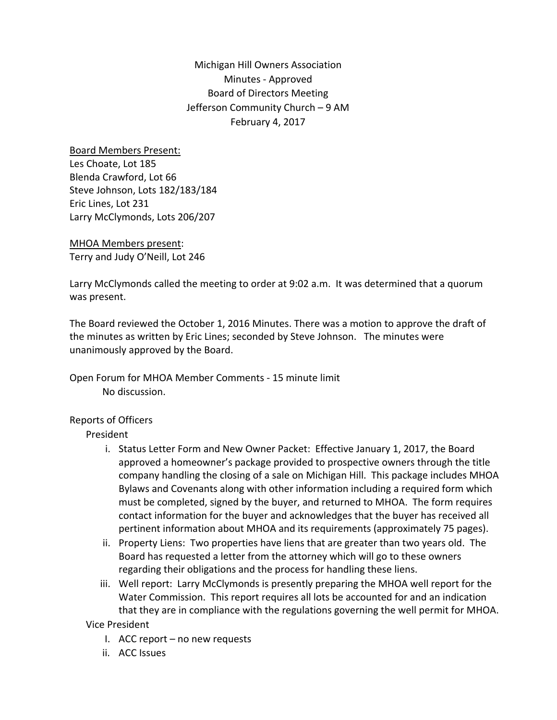Michigan Hill Owners Association Minutes ‐ Approved Board of Directors Meeting Jefferson Community Church – 9 AM February 4, 2017

Board Members Present: Les Choate, Lot 185 Blenda Crawford, Lot 66 Steve Johnson, Lots 182/183/184 Eric Lines, Lot 231 Larry McClymonds, Lots 206/207

MHOA Members present: Terry and Judy O'Neill, Lot 246

Larry McClymonds called the meeting to order at 9:02 a.m. It was determined that a quorum was present.

The Board reviewed the October 1, 2016 Minutes. There was a motion to approve the draft of the minutes as written by Eric Lines; seconded by Steve Johnson. The minutes were unanimously approved by the Board.

Open Forum for MHOA Member Comments ‐ 15 minute limit No discussion.

## Reports of Officers

President

- i. Status Letter Form and New Owner Packet: Effective January 1, 2017, the Board approved a homeowner's package provided to prospective owners through the title company handling the closing of a sale on Michigan Hill. This package includes MHOA Bylaws and Covenants along with other information including a required form which must be completed, signed by the buyer, and returned to MHOA. The form requires contact information for the buyer and acknowledges that the buyer has received all pertinent information about MHOA and its requirements (approximately 75 pages).
- ii. Property Liens: Two properties have liens that are greater than two years old. The Board has requested a letter from the attorney which will go to these owners regarding their obligations and the process for handling these liens.
- iii. Well report: Larry McClymonds is presently preparing the MHOA well report for the Water Commission. This report requires all lots be accounted for and an indication that they are in compliance with the regulations governing the well permit for MHOA.

Vice President

- I. ACC report no new requests
- ii. ACC Issues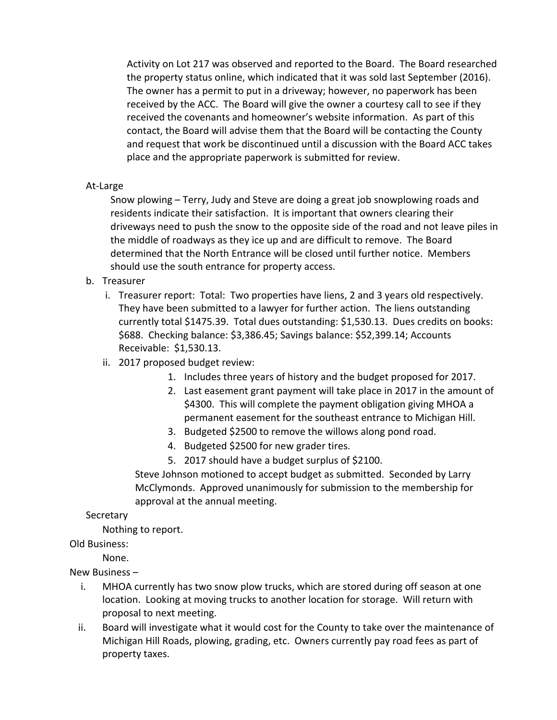Activity on Lot 217 was observed and reported to the Board. The Board researched the property status online, which indicated that it was sold last September (2016). The owner has a permit to put in a driveway; however, no paperwork has been received by the ACC. The Board will give the owner a courtesy call to see if they received the covenants and homeowner's website information. As part of this contact, the Board will advise them that the Board will be contacting the County and request that work be discontinued until a discussion with the Board ACC takes place and the appropriate paperwork is submitted for review.

## At‐Large

Snow plowing – Terry, Judy and Steve are doing a great job snowplowing roads and residents indicate their satisfaction. It is important that owners clearing their driveways need to push the snow to the opposite side of the road and not leave piles in the middle of roadways as they ice up and are difficult to remove. The Board determined that the North Entrance will be closed until further notice. Members should use the south entrance for property access.

- b. Treasurer
	- i. Treasurer report: Total: Two properties have liens, 2 and 3 years old respectively. They have been submitted to a lawyer for further action. The liens outstanding currently total \$1475.39. Total dues outstanding: \$1,530.13. Dues credits on books: \$688. Checking balance: \$3,386.45; Savings balance: \$52,399.14; Accounts Receivable: \$1,530.13.
	- ii. 2017 proposed budget review:
		- 1. Includes three years of history and the budget proposed for 2017.
		- 2. Last easement grant payment will take place in 2017 in the amount of \$4300. This will complete the payment obligation giving MHOA a permanent easement for the southeast entrance to Michigan Hill.
		- 3. Budgeted \$2500 to remove the willows along pond road.
		- 4. Budgeted \$2500 for new grader tires.
		- 5. 2017 should have a budget surplus of \$2100.

Steve Johnson motioned to accept budget as submitted. Seconded by Larry McClymonds. Approved unanimously for submission to the membership for approval at the annual meeting.

Secretary

Nothing to report.

Old Business:

None.

New Business –

- i. MHOA currently has two snow plow trucks, which are stored during off season at one location. Looking at moving trucks to another location for storage. Will return with proposal to next meeting.
- ii. Board will investigate what it would cost for the County to take over the maintenance of Michigan Hill Roads, plowing, grading, etc. Owners currently pay road fees as part of property taxes.